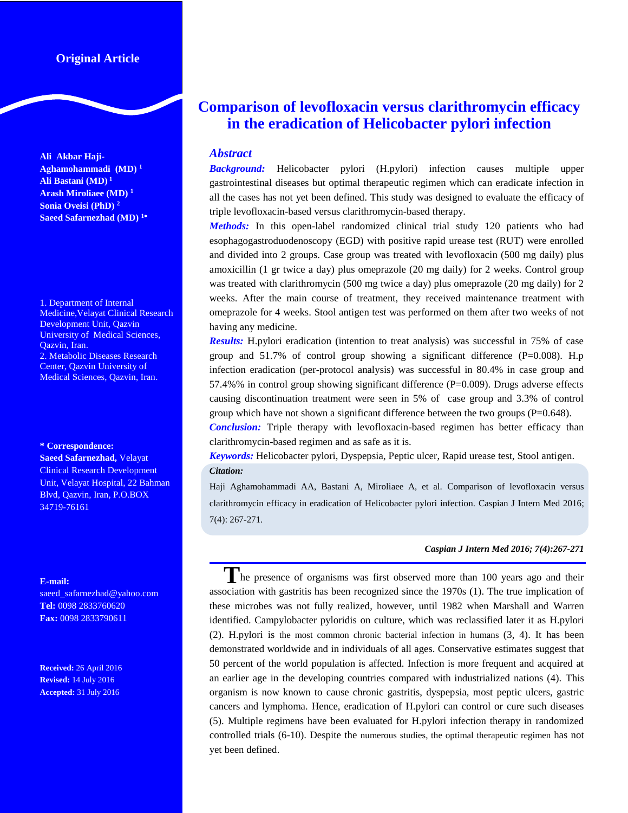# **Original Article**

**Ali Akbar Haji-Aghamohammadi (MD) <sup>1</sup> Ali Bastani (MD) 1 Arash Miroliaee (MD) <sup>1</sup> Sonia Oveisi (PhD) <sup>2</sup> Saeed Safarnezhad (MD) <sup>1</sup>**

1. Department of Internal Medicine,Velayat Clinical Research Development Unit, Qazvin University of Medical Sciences, Qazvin, Iran. 2. Metabolic Diseases Research Center, Qazvin University of Medical Sciences, Qazvin, Iran.

#### **\* Correspondence:**

**Saeed Safarnezhad,** Velayat Clinical Research Development Unit, Velayat Hospital, 22 Bahman Blvd, Qazvin, Iran, P.O.BOX 34719-76161

#### **E-mail:**

saeed\_safarnezhad@yahoo.com **Tel:** 0098 2833760620 **Fax:** 0098 2833790611

**Received:** 26 April 2016 **Revised:** 14 July 2016 **Accepted:** 31 July 2016

# **Comparison of levofloxacin versus clarithromycin efficacy in the eradication of Helicobacter pylori infection**

# *Abstract*

*Background:* Helicobacter pylori (H.pylori) infection causes multiple upper gastrointestinal diseases but optimal therapeutic regimen which can eradicate infection in all the cases has not yet been defined. This study was designed to evaluate the efficacy of triple levofloxacin-based versus clarithromycin-based therapy.

*Methods:* In this open-label randomized clinical trial study 120 patients who had esophagogastroduodenoscopy (EGD) with positive rapid urease test (RUT) were enrolled and divided into 2 groups. Case group was treated with levofloxacin (500 mg daily) plus amoxicillin (1 gr twice a day) plus omeprazole (20 mg daily) for 2 weeks. Control group was treated with clarithromycin (500 mg twice a day) plus omeprazole (20 mg daily) for 2 weeks. After the main course of treatment, they received maintenance treatment with omeprazole for 4 weeks. Stool antigen test was performed on them after two weeks of not having any medicine.

*Results:* H.pylori eradication (intention to treat analysis) was successful in 75% of case group and  $51.7\%$  of control group showing a significant difference (P=0.008). H.p infection eradication (per-protocol analysis) was successful in 80.4% in case group and 57.4%% in control group showing significant difference (P=0.009). Drugs adverse effects causing discontinuation treatment were seen in 5% of case group and 3.3% of control group which have not shown a significant difference between the two groups  $(P=0.648)$ .

*Conclusion:* Triple therapy with levofloxacin-based regimen has better efficacy than clarithromycin-based regimen and as safe as it is.

*Keywords:* Helicobacter pylori, Dyspepsia, Peptic ulcer, Rapid urease test, Stool antigen. *Citation:*

Haji Aghamohammadi AA, Bastani A, Miroliaee A, et al. Comparison of levofloxacin versus clarithromycin efficacy in eradication of Helicobacter pylori infection. Caspian J Intern Med 2016; 7(4): 267-271.

#### *Caspian J Intern Med 2016; 7(4):267-271*

The presence of organisms was first observed more than 100 years ago and their association with gastritis has been recognized since the 1970s (1). The true implication of these microbes was not fully realized, however, until 1982 when Marshall and Warren identified. Campylobacter pyloridis on culture, which was reclassified later it as H.pylori (2). H.pylori is the most common chronic bacterial infection in humans (3, 4). It has been demonstrated worldwide and in individuals of all ages. Conservative estimates suggest that 50 percent of the world population is affected. Infection is more frequent and acquired at an earlier age in the developing countries compared with industrialized nations (4). This organism is now known to cause chronic gastritis, dyspepsia, most peptic ulcers, gastric cancers and lymphoma. Hence, eradication of H.pylori can control or cure such diseases (5). Multiple regimens have been evaluated for H.pylori infection therapy in randomized controlled trials (6-10). Despite the numerous studies, the optimal therapeutic regimen has not yet been defined.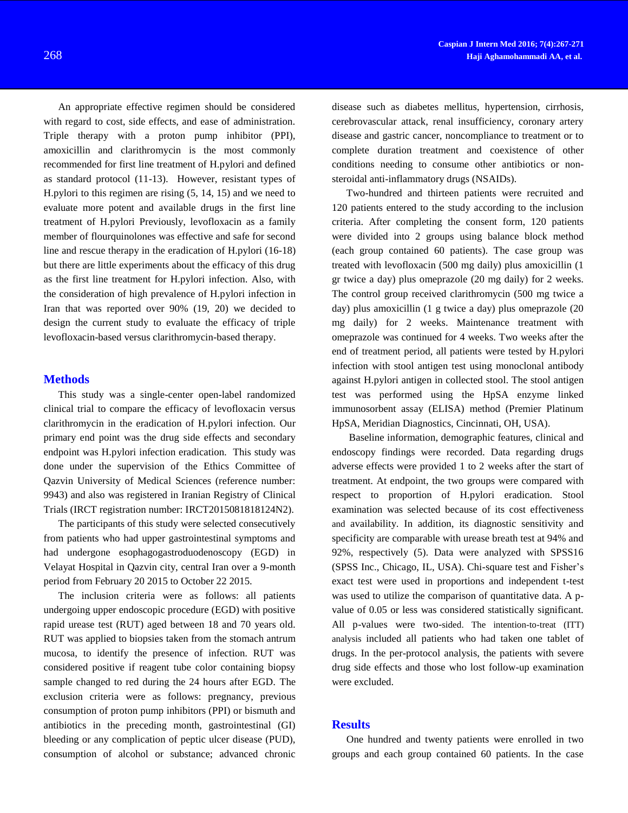An appropriate effective regimen should be considered with regard to cost, side effects, and ease of administration. Triple therapy with a proton pump inhibitor (PPI), amoxicillin and clarithromycin is the most commonly recommended for first line treatment of H.pylori and defined as standard protocol (11-13). However, resistant types of H.pylori to this regimen are rising (5, 14, 15) and we need to evaluate more potent and available drugs in the first line treatment of H.pylori Previously, levofloxacin as a family member of flourquinolones was effective and safe for second line and rescue therapy in the eradication of H.pylori (16-18) but there are little experiments about the efficacy of this drug as the first line treatment for H.pylori infection. Also, with the consideration of high prevalence of H.pylori infection in Iran that was reported over 90% (19, 20) we decided to design the current study to evaluate the efficacy of triple levofloxacin-based versus clarithromycin-based therapy.

### **Methods**

This study was a single-center open-label randomized clinical trial to compare the efficacy of levofloxacin versus clarithromycin in the eradication of H.pylori infection. Our primary end point was the drug side effects and secondary endpoint was H.pylori infection eradication. This study was done under the supervision of the Ethics Committee of Qazvin University of Medical Sciences (reference number: 9943) and also was registered in Iranian Registry of Clinical Trials (IRCT registration number: IRCT2015081818124N2).

The participants of this study were selected consecutively from patients who had upper gastrointestinal symptoms and had undergone esophagogastroduodenoscopy (EGD) in Velayat Hospital in Qazvin city, central Iran over a 9-month period from February 20 2015 to October 22 2015.

The inclusion criteria were as follows: all patients undergoing upper endoscopic procedure (EGD) with positive rapid urease test (RUT) aged between 18 and 70 years old. RUT was applied to biopsies taken from the stomach antrum mucosa, to identify the presence of infection. RUT was considered positive if reagent tube color containing biopsy sample changed to red during the 24 hours after EGD. The exclusion criteria were as follows: pregnancy, previous consumption of proton pump inhibitors (PPI) or bismuth and antibiotics in the preceding month, gastrointestinal (GI) bleeding or any complication of peptic ulcer disease (PUD), consumption of alcohol or substance; advanced chronic

disease such as diabetes mellitus, hypertension, cirrhosis, cerebrovascular attack, renal insufficiency, coronary artery disease and gastric cancer, noncompliance to treatment or to complete duration treatment and coexistence of other conditions needing to consume other antibiotics or nonsteroidal anti-inflammatory drugs (NSAIDs).

Two-hundred and thirteen patients were recruited and 120 patients entered to the study according to the inclusion criteria. After completing the consent form, 120 patients were divided into 2 groups using balance block method (each group contained 60 patients). The case group was treated with levofloxacin (500 mg daily) plus amoxicillin (1 gr twice a day) plus omeprazole (20 mg daily) for 2 weeks. The control group received clarithromycin (500 mg twice a day) plus amoxicillin (1 g twice a day) plus omeprazole (20 mg daily) for 2 weeks. Maintenance treatment with omeprazole was continued for 4 weeks. Two weeks after the end of treatment period, all patients were tested by H.pylori infection with stool antigen test using monoclonal antibody against H.pylori antigen in collected stool. The stool antigen test was performed using the HpSA enzyme linked immunosorbent assay (ELISA) method (Premier Platinum HpSA, Meridian Diagnostics, Cincinnati, OH, USA).

Baseline information, demographic features, clinical and endoscopy findings were recorded. Data regarding drugs adverse effects were provided 1 to 2 weeks after the start of treatment. At endpoint, the two groups were compared with respect to proportion of H.pylori eradication. Stool examination was selected because of its cost effectiveness and availability. In addition, its diagnostic sensitivity and specificity are comparable with urease breath test at 94% and 92%, respectively (5). Data were analyzed with SPSS16 (SPSS Inc., Chicago, IL, USA). Chi-square test and Fisher's exact test were used in proportions and independent t-test was used to utilize the comparison of quantitative data. A pvalue of 0.05 or less was considered statistically significant. All p-values were two-sided. The intention-to-treat (ITT) analysis included all patients who had taken one tablet of drugs. In the per-protocol analysis, the patients with severe drug side effects and those who lost follow-up examination were excluded.

## **Results**

One hundred and twenty patients were enrolled in two groups and each group contained 60 patients. In the case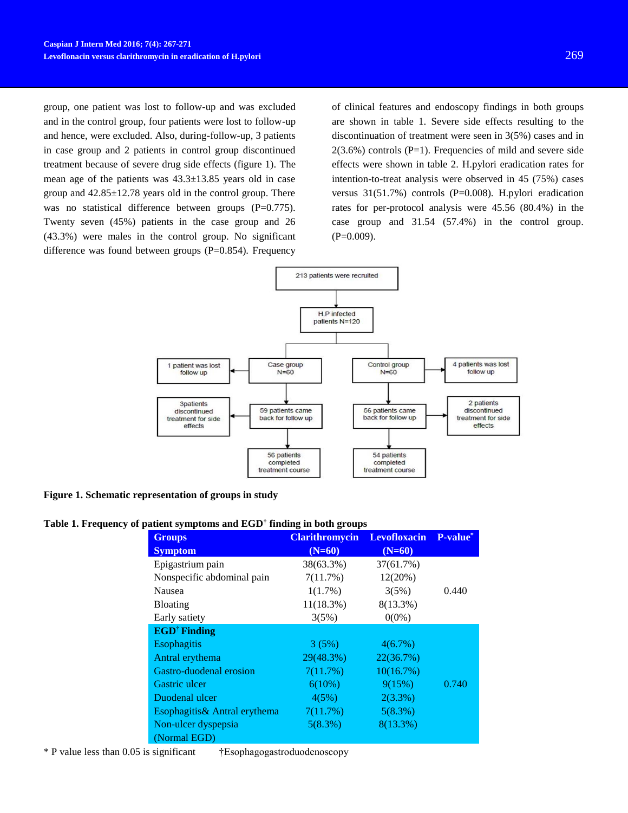group, one patient was lost to follow-up and was excluded and in the control group, four patients were lost to follow-up and hence, were excluded. Also, during-follow-up, 3 patients in case group and 2 patients in control group discontinued treatment because of severe drug side effects (figure 1). The mean age of the patients was 43.3±13.85 years old in case group and 42.85±12.78 years old in the control group. There was no statistical difference between groups (P=0.775). Twenty seven (45%) patients in the case group and 26 (43.3%) were males in the control group. No significant difference was found between groups (P=0.854). Frequency of clinical features and endoscopy findings in both groups are shown in table 1. Severe side effects resulting to the discontinuation of treatment were seen in 3(5%) cases and in  $2(3.6\%)$  controls (P=1). Frequencies of mild and severe side effects were shown in table 2. H.pylori eradication rates for intention-to-treat analysis were observed in 45 (75%) cases versus 31(51.7%) controls (P=0.008). H.pylori eradication rates for per-protocol analysis were 45.56 (80.4%) in the case group and 31.54 (57.4%) in the control group.  $(P=0.009)$ .



**Figure 1. Schematic representation of groups in study**

#### **Table 1. Frequency of patient symptoms and EGD† finding in both groups**

| <b>Groups</b>                  | <b>Clarithromycin</b> | Levofloxacin P-value* |       |
|--------------------------------|-----------------------|-----------------------|-------|
| <b>Symptom</b>                 | $(N=60)$              | $(N=60)$              |       |
| Epigastrium pain               | 38(63.3%)             | 37(61.7%)             |       |
| Nonspecific abdominal pain     | 7(11.7%)              | 12(20%)               |       |
| <b>Nausea</b>                  | $1(1.7\%)$            | 3(5%)                 | 0.440 |
| <b>Bloating</b>                | 11(18.3%)             | $8(13.3\%)$           |       |
| Early satiety                  | 3(5%)                 | $0(0\%)$              |       |
| <b>EGD<sup>†</sup></b> Finding |                       |                       |       |
| <b>Esophagitis</b>             | 3(5%)                 | $4(6.7\%)$            |       |
| Antral erythema                | 29(48.3%)             | 22(36.7%)             |       |
| Gastro-duodenal erosion        | 7(11.7%)              | 10(16.7%)             |       |
| Gastric ulcer                  | $6(10\%)$             | 9(15%)                | 0.740 |
| Duodenal ulcer                 | 4(5%)                 | 2(3.3%)               |       |
| Esophagitis& Antral erythema   | 7(11.7%)              | 5(8.3%)               |       |
| Non-ulcer dyspepsia            | 5(8.3%)               | $8(13.3\%)$           |       |
| (Normal EGD)                   |                       |                       |       |

\* P value less than 0.05 is significant †Esophagogastroduodenoscopy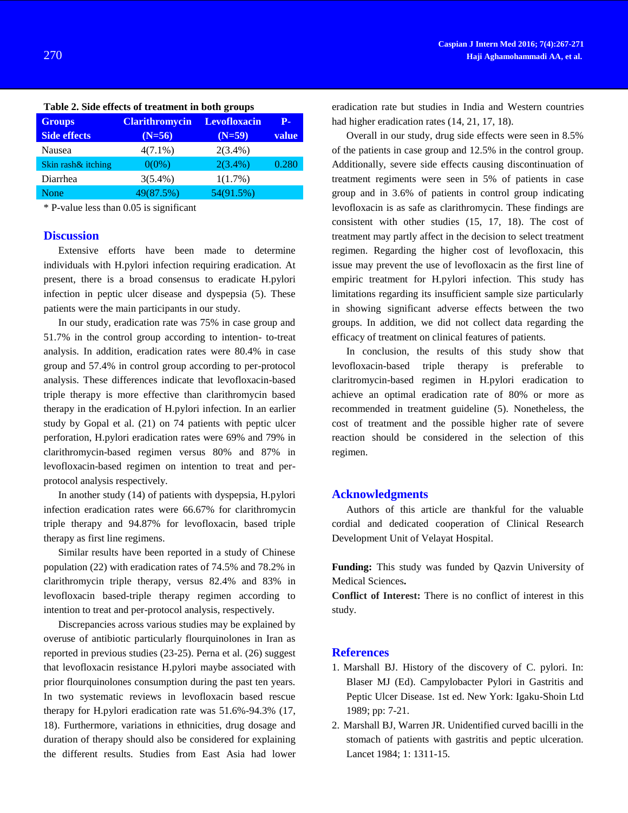| <b>Groups</b>       | <b>Clarithromycin</b> | <b>Levofloxacin</b> | р.    |
|---------------------|-----------------------|---------------------|-------|
| <b>Side effects</b> | $(N=56)$              | $(N=59)$            | value |
| Nausea              | $4(7.1\%)$            | $2(3.4\%)$          |       |
| Skin rash& itching  | $0(0\%)$              | $2(3.4\%)$          | 0.280 |
| Diarrhea            | $3(5.4\%)$            | $1(1.7\%)$          |       |
| None                | 49(87.5%)             | 54(91.5%)           |       |
|                     |                       |                     |       |

**Table 2. Side effects of treatment in both groups**

\* P-value less than 0.05 is significant

### **Discussion**

Extensive efforts have been made to determine individuals with H.pylori infection requiring eradication. At present, there is a broad consensus to eradicate H.pylori infection in peptic ulcer disease and dyspepsia (5). These patients were the main participants in our study.

In our study, eradication rate was 75% in case group and 51.7% in the control group according to intention- to-treat analysis. In addition, eradication rates were 80.4% in case group and 57.4% in control group according to per-protocol analysis. These differences indicate that levofloxacin-based triple therapy is more effective than clarithromycin based therapy in the eradication of H.pylori infection. In an earlier study by Gopal et al. (21) on 74 patients with peptic ulcer perforation, H.pylori eradication rates were 69% and 79% in clarithromycin-based regimen versus 80% and 87% in levofloxacin-based regimen on intention to treat and perprotocol analysis respectively.

In another study (14) of patients with dyspepsia, H.pylori infection eradication rates were 66.67% for clarithromycin triple therapy and 94.87% for levofloxacin, based triple therapy as first line regimens.

Similar results have been reported in a study of Chinese population (22) with eradication rates of 74.5% and 78.2% in clarithromycin triple therapy, versus 82.4% and 83% in levofloxacin based-triple therapy regimen according to intention to treat and per-protocol analysis, respectively.

Discrepancies across various studies may be explained by overuse of antibiotic particularly flourquinolones in Iran as reported in previous studies (23-25). Perna et al. (26) suggest that levofloxacin resistance H.pylori maybe associated with prior flourquinolones consumption during the past ten years. In two systematic reviews in levofloxacin based rescue therapy for H.pylori eradication rate was 51.6%-94.3% (17, 18). Furthermore, variations in ethnicities, drug dosage and duration of therapy should also be considered for explaining the different results. Studies from East Asia had lower eradication rate but studies in India and Western countries had higher eradication rates (14, 21, 17, 18).

Overall in our study, drug side effects were seen in 8.5% of the patients in case group and 12.5% in the control group. Additionally, severe side effects causing discontinuation of treatment regiments were seen in 5% of patients in case group and in 3.6% of patients in control group indicating levofloxacin is as safe as clarithromycin. These findings are consistent with other studies (15, 17, 18). The cost of treatment may partly affect in the decision to select treatment regimen. Regarding the higher cost of levofloxacin, this issue may prevent the use of levofloxacin as the first line of empiric treatment for H.pylori infection. This study has limitations regarding its insufficient sample size particularly in showing significant adverse effects between the two groups. In addition, we did not collect data regarding the efficacy of treatment on clinical features of patients.

In conclusion, the results of this study show that levofloxacin-based triple therapy is preferable to claritromycin-based regimen in H.pylori eradication to achieve an optimal eradication rate of 80% or more as recommended in treatment guideline (5). Nonetheless, the cost of treatment and the possible higher rate of severe reaction should be considered in the selection of this regimen.

# **Acknowledgments**

Authors of this article are thankful for the valuable cordial and dedicated cooperation of Clinical Research Development Unit of Velayat Hospital.

**Funding:** This study was funded by Qazvin University of Medical Sciences**.**

**Conflict of Interest:** There is no conflict of interest in this study.

# **References**

- 1. Marshall BJ. History of the discovery of C. pylori. In: Blaser MJ (Ed). Campylobacter Pylori in Gastritis and Peptic Ulcer Disease. 1st ed. New York: Igaku-Shoin Ltd 1989; pp: 7-21.
- 2. Marshall BJ, Warren JR. Unidentified curved bacilli in the stomach of patients with gastritis and peptic ulceration. Lancet 1984; 1: 1311-15.